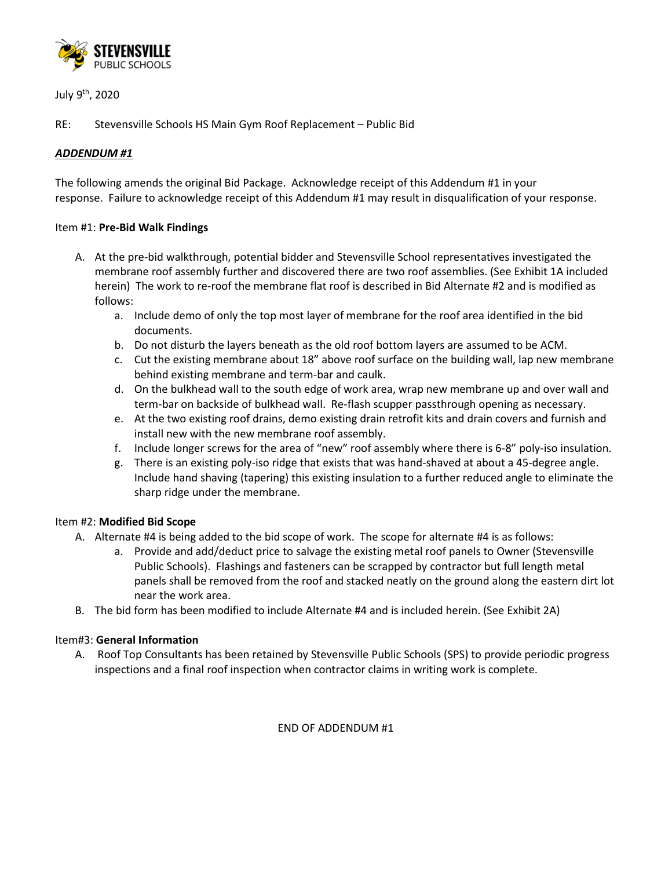

July 9th, 2020

RE: Stevensville Schools HS Main Gym Roof Replacement – Public Bid

# *ADDENDUM #1*

The following amends the original Bid Package. Acknowledge receipt of this Addendum #1 in your response. Failure to acknowledge receipt of this Addendum #1 may result in disqualification of your response.

## Item #1: **Pre-Bid Walk Findings**

- A. At the pre-bid walkthrough, potential bidder and Stevensville School representatives investigated the membrane roof assembly further and discovered there are two roof assemblies. (See Exhibit 1A included herein) The work to re-roof the membrane flat roof is described in Bid Alternate #2 and is modified as follows:
	- a. Include demo of only the top most layer of membrane for the roof area identified in the bid documents.
	- b. Do not disturb the layers beneath as the old roof bottom layers are assumed to be ACM.
	- c. Cut the existing membrane about 18" above roof surface on the building wall, lap new membrane behind existing membrane and term-bar and caulk.
	- d. On the bulkhead wall to the south edge of work area, wrap new membrane up and over wall and term-bar on backside of bulkhead wall. Re-flash scupper passthrough opening as necessary.
	- e. At the two existing roof drains, demo existing drain retrofit kits and drain covers and furnish and install new with the new membrane roof assembly.
	- f. Include longer screws for the area of "new" roof assembly where there is 6-8" poly-iso insulation.
	- g. There is an existing poly-iso ridge that exists that was hand-shaved at about a 45-degree angle. Include hand shaving (tapering) this existing insulation to a further reduced angle to eliminate the sharp ridge under the membrane.

## Item #2: **Modified Bid Scope**

- A. Alternate #4 is being added to the bid scope of work. The scope for alternate #4 is as follows:
	- a. Provide and add/deduct price to salvage the existing metal roof panels to Owner (Stevensville Public Schools). Flashings and fasteners can be scrapped by contractor but full length metal panels shall be removed from the roof and stacked neatly on the ground along the eastern dirt lot near the work area.
- B. The bid form has been modified to include Alternate #4 and is included herein. (See Exhibit 2A)

## Item#3: **General Information**

A. Roof Top Consultants has been retained by Stevensville Public Schools (SPS) to provide periodic progress inspections and a final roof inspection when contractor claims in writing work is complete.

END OF ADDENDUM #1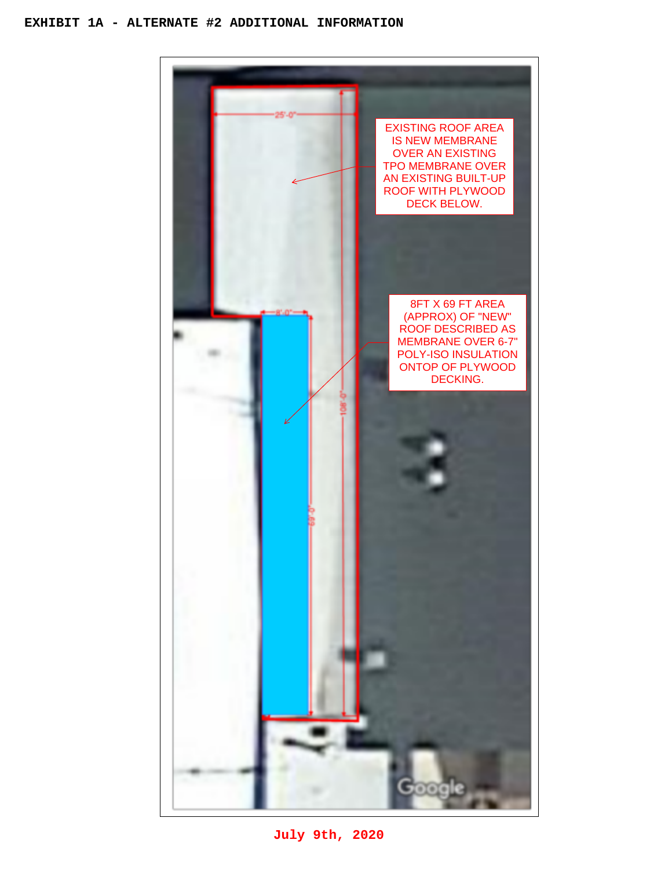### **EXHIBIT 1A - ALTERNATE #2 ADDITIONAL INFORMATION**



**July 9th, 2020**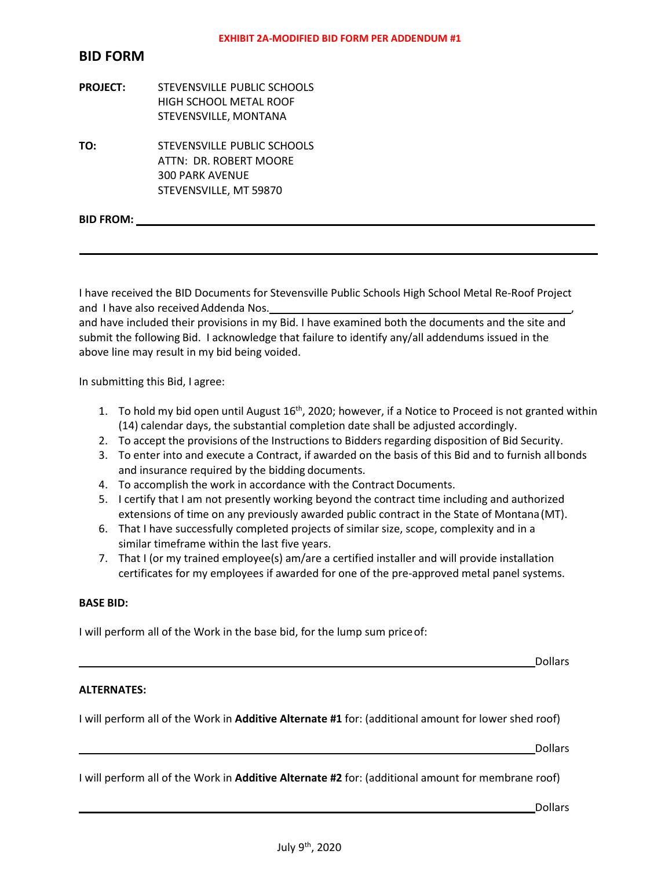# **BID FORM**

- **PROJECT:** STEVENSVILLE PUBLIC SCHOOLS HIGH SCHOOL METAL ROOF STEVENSVILLE, MONTANA
- **TO:** STEVENSVILLE PUBLIC SCHOOLS ATTN: DR. ROBERT MOORE 300 PARK AVENUE STEVENSVILLE, MT 59870

**BID FROM:** 

I have received the BID Documents for Stevensville Public Schools High School Metal Re-Roof Project and I have also received Addenda Nos.

and have included their provisions in my Bid. I have examined both the documents and the site and submit the following Bid. I acknowledge that failure to identify any/all addendums issued in the above line may result in my bid being voided.

In submitting this Bid, I agree:

- 1. To hold my bid open until August  $16<sup>th</sup>$ , 2020; however, if a Notice to Proceed is not granted within (14) calendar days, the substantial completion date shall be adjusted accordingly.
- 2. To accept the provisions of the Instructions to Bidders regarding disposition of Bid Security.
- 3. To enter into and execute a Contract, if awarded on the basis of this Bid and to furnish all bonds and insurance required by the bidding documents.
- 4. To accomplish the work in accordance with the Contract Documents.
- 5. I certify that I am not presently working beyond the contract time including and authorized extensions of time on any previously awarded public contract in the State of Montana (MT).
- 6. That I have successfully completed projects of similar size, scope, complexity and in a similar timeframe within the last five years.
- 7. That I (or my trained employee(s) am/are a certified installer and will provide installation certificates for my employees if awarded for one of the pre-approved metal panel systems.

#### **BASE BID:**

I will perform all of the Work in the base bid, for the lump sum price of:

<u>Dollars and the contract of the contract of the contract of the contract of the contract of the contract of the contract of the contract of the contract of the contract of the contract of the contract of the contract of t</u>

### **ALTERNATES:**

I will perform all of the Work in **Additive Alternate #1** for: (additional amount for lower shed roof)

<u>Dollars and the contract of the contract of the contract of the contract of the contract of the contract of the contract of the contract of the contract of the contract of the contract of the contract of the contract of t</u>

I will perform all of the Work in **Additive Alternate #2** for: (additional amount for membrane roof)

<u>Dollars and the contract of the contract of the contract of the contract of the contract of the contract of the contract of the contract of the contract of the contract of the contract of the contract of the contract of t</u>